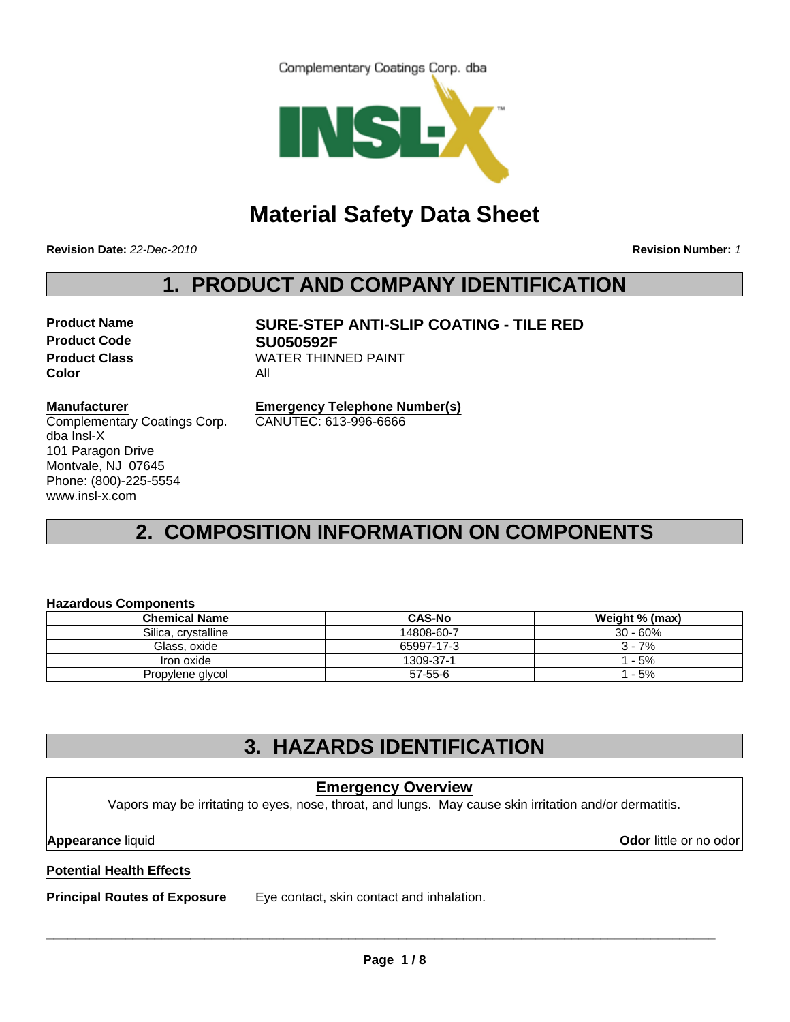Complementary Coatings Corp. dba



# **Material Safety Data Sheet**

**Revision Date:** *22-Dec-2010*

**Revision Number:** *1*

# **1. PRODUCT AND COMPANY IDENTIFICATION**

**Product Code SU050592F Color** All

**Product Name SURE-STEP ANTI-SLIP COATING - TILE RED Product Class WATER THINNED PAINT** 

#### **Manufacturer**

Complementary Coatings Corp. dba Insl-X 101 Paragon Drive Montvale, NJ 07645 Phone: (800)-225-5554 www.insl-x.com

**Emergency Telephone Number(s)** CANUTEC: 613-996-6666

# **2. COMPOSITION INFORMATION ON COMPONENTS**

#### **Hazardous Components**

| <b>Chemical Name</b> | <b>CAS-No</b> | Weight % (max) |
|----------------------|---------------|----------------|
| Silica, crystalline  | 14808-60-7    | $30 - 60%$     |
| Glass, oxide         | 65997-17-3    | $3 - 7%$       |
| Iron oxide           | 1309-37-1     | l - 5%         |
| Propylene glycol     | 57-55-6       | 1 - 5%         |

# **3. HAZARDS IDENTIFICATION**

# **Potential Health Effects Principal Routes of Exposure** Eye contact, skin contact and inhalation. **Emergency Overview** Vapors may be irritating to eyes, nose, throat, and lungs. May cause skin irritation and/or dermatitis. **Appearance** liquid **Odor** little or no odor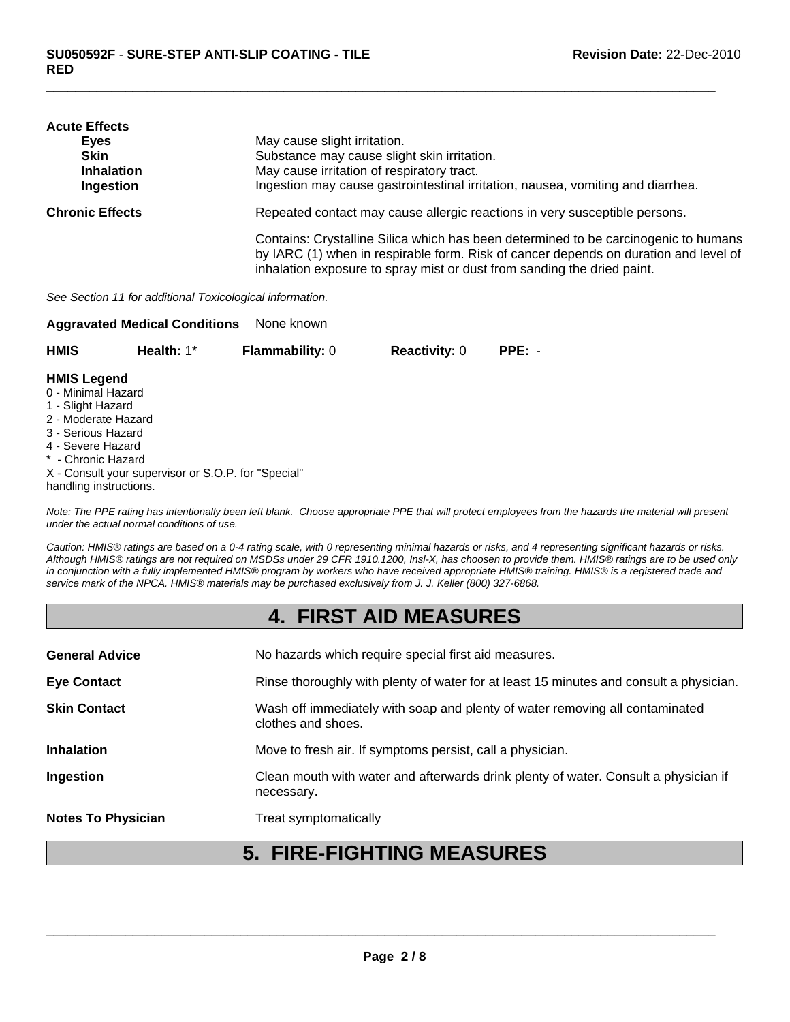| <b>Acute Effects</b>   |                                                                                      |
|------------------------|--------------------------------------------------------------------------------------|
| Eyes                   | May cause slight irritation.                                                         |
| Skin                   | Substance may cause slight skin irritation.                                          |
| <b>Inhalation</b>      | May cause irritation of respiratory tract.                                           |
| Ingestion              | Ingestion may cause gastrointestinal irritation, nausea, vomiting and diarrhea.      |
| <b>Chronic Effects</b> | Repeated contact may cause allergic reactions in very susceptible persons.           |
|                        | Contains: Crystalline Silica which has been determined to be carcinogenic to humans  |
|                        | by IARC (1) when in respirable form. Risk of cancer depends on duration and level of |
|                        | inhalation exposure to spray mist or dust from sanding the dried paint.              |

 $\Box$ 

*See Section 11 for additional Toxicological information.*

| <b>Aggravated Medical Conditions</b><br>None known                                                                                                                              |                                                     |                        |                      |          |  |
|---------------------------------------------------------------------------------------------------------------------------------------------------------------------------------|-----------------------------------------------------|------------------------|----------------------|----------|--|
| <b>HMIS</b>                                                                                                                                                                     | Health: $1^*$                                       | <b>Flammability: 0</b> | <b>Reactivity: 0</b> | $PPE: -$ |  |
| <b>HMIS Legend</b><br>0 - Minimal Hazard<br>1 - Slight Hazard<br>2 - Moderate Hazard<br>3 - Serious Hazard<br>4 - Severe Hazard<br>* - Chronic Hazard<br>handling instructions. | X - Consult your supervisor or S.O.P. for "Special" |                        |                      |          |  |

*Note: The PPE rating has intentionally been left blank. Choose appropriate PPE that will protect employees from the hazards the material will present under the actual normal conditions of use.*

*Caution: HMIS® ratings are based on a 0-4 rating scale, with 0 representing minimal hazards or risks, and 4 representing significant hazards or risks. Although HMIS® ratings are not required on MSDSs under 29 CFR 1910.1200, Insl-X, has choosen to provide them. HMIS® ratings are to be used only in conjunction with a fully implemented HMIS® program by workers who have received appropriate HMIS® training. HMIS® is a registered trade and service mark of the NPCA. HMIS® materials may be purchased exclusively from J. J. Keller (800) 327-6868.*

# **4. FIRST AID MEASURES**

| <b>General Advice</b>     | No hazards which require special first aid measures.                                               |
|---------------------------|----------------------------------------------------------------------------------------------------|
| <b>Eye Contact</b>        | Rinse thoroughly with plenty of water for at least 15 minutes and consult a physician.             |
| <b>Skin Contact</b>       | Wash off immediately with soap and plenty of water removing all contaminated<br>clothes and shoes. |
| <b>Inhalation</b>         | Move to fresh air. If symptoms persist, call a physician.                                          |
| Ingestion                 | Clean mouth with water and afterwards drink plenty of water. Consult a physician if<br>necessary.  |
| <b>Notes To Physician</b> | Treat symptomatically                                                                              |

# **5. FIRE-FIGHTING MEASURES**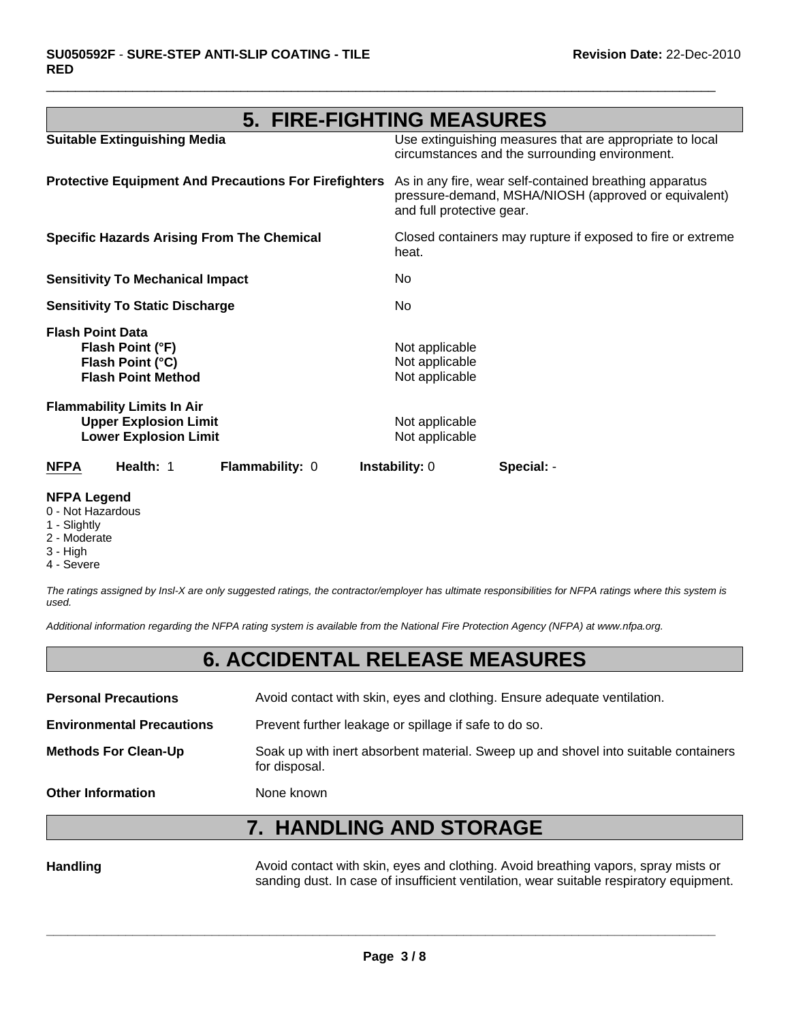# **5. FIRE-FIGHTING MEASURES**

 $\Box$ 

| <b>NFPA</b>             | Health: 1                                                                                         | Flammability: 0                                              | <b>Instability: 0</b>                              | Special: -                                                                                                      |
|-------------------------|---------------------------------------------------------------------------------------------------|--------------------------------------------------------------|----------------------------------------------------|-----------------------------------------------------------------------------------------------------------------|
|                         | <b>Flammability Limits In Air</b><br><b>Upper Explosion Limit</b><br><b>Lower Explosion Limit</b> |                                                              | Not applicable<br>Not applicable                   |                                                                                                                 |
| <b>Flash Point Data</b> | Flash Point (°F)<br>Flash Point (°C)<br><b>Flash Point Method</b>                                 |                                                              | Not applicable<br>Not applicable<br>Not applicable |                                                                                                                 |
|                         | <b>Sensitivity To Static Discharge</b>                                                            |                                                              | No.                                                |                                                                                                                 |
|                         | <b>Sensitivity To Mechanical Impact</b>                                                           |                                                              | No.                                                |                                                                                                                 |
|                         |                                                                                                   | <b>Specific Hazards Arising From The Chemical</b>            | heat.                                              | Closed containers may rupture if exposed to fire or extreme                                                     |
|                         |                                                                                                   | <b>Protective Equipment And Precautions For Firefighters</b> | and full protective gear.                          | As in any fire, wear self-contained breathing apparatus<br>pressure-demand, MSHA/NIOSH (approved or equivalent) |
|                         | <b>Suitable Extinguishing Media</b>                                                               |                                                              |                                                    | Use extinguishing measures that are appropriate to local<br>circumstances and the surrounding environment.      |

#### **NFPA Legend**

- 0 Not Hazardous
- 1 Slightly
- 2 Moderate
- 3 High
- 4 Severe

*The ratings assigned by Insl-X are only suggested ratings, the contractor/employer has ultimate responsibilities for NFPA ratings where this system is used.*

*Additional information regarding the NFPA rating system is available from the National Fire Protection Agency (NFPA) at www.nfpa.org.*

### **6. ACCIDENTAL RELEASE MEASURES**

| <b>Personal Precautions</b>      | Avoid contact with skin, eyes and clothing. Ensure adequate ventilation.                             |
|----------------------------------|------------------------------------------------------------------------------------------------------|
| <b>Environmental Precautions</b> | Prevent further leakage or spillage if safe to do so.                                                |
| <b>Methods For Clean-Up</b>      | Soak up with inert absorbent material. Sweep up and shovel into suitable containers<br>for disposal. |
| <b>Other Information</b>         | None known                                                                                           |

# **7. HANDLING AND STORAGE**

Handling **Handling** Avoid contact with skin, eyes and clothing. Avoid breathing vapors, spray mists or sanding dust. In case of insufficient ventilation, wear suitable respiratory equipment.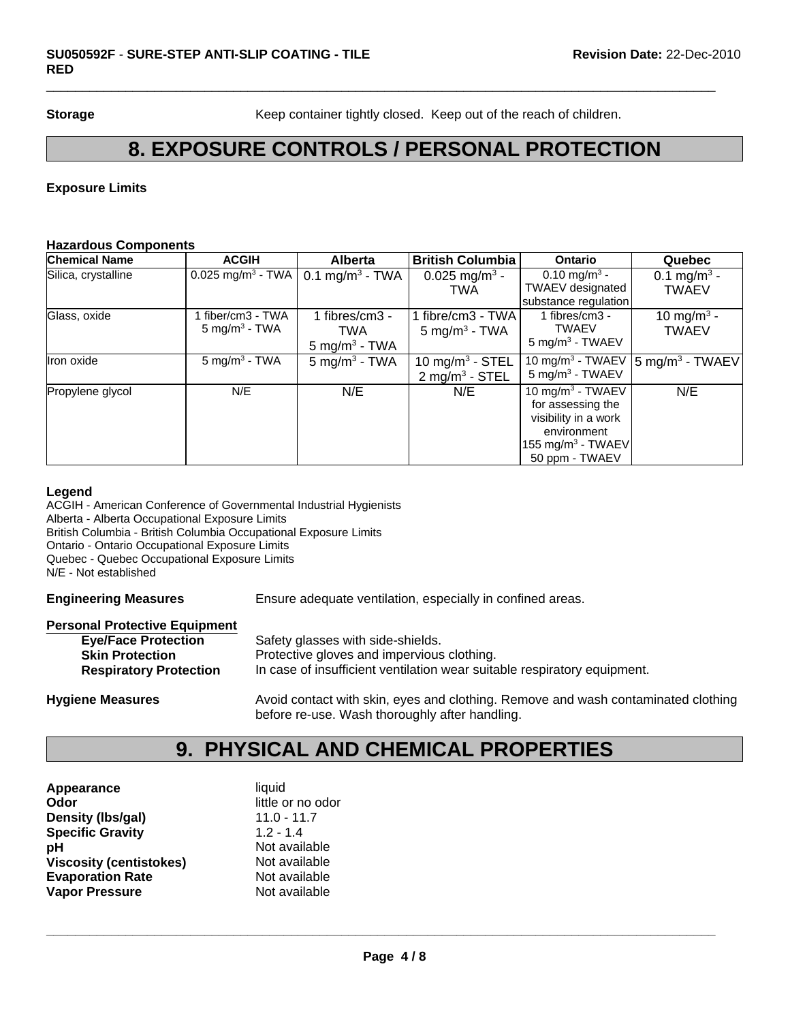**Storage** Keep container tightly closed. Keep out of the reach of children.

### **8. EXPOSURE CONTROLS / PERSONAL PROTECTION**

 $\Box$ 

#### **Exposure Limits**

#### **Hazardous Components**

| <b>Chemical Name</b> | <b>ACGIH</b>                  | <b>Alberta</b>              | <b>British Columbia</b>       | <b>Ontario</b>                | Quebec                       |
|----------------------|-------------------------------|-----------------------------|-------------------------------|-------------------------------|------------------------------|
| Silica, crystalline  | 0.025 mg/m <sup>3</sup> - TWA | 0.1 mg/m <sup>3</sup> - TWA | 0.025 mg/m <sup>3</sup> -     | 0.10 mg/m <sup>3</sup> -      | 0.1 mg/m <sup>3</sup> -      |
|                      |                               |                             | <b>TWA</b>                    | <b>TWAEV</b> designated       | <b>TWAEV</b>                 |
|                      |                               |                             |                               | substance regulation          |                              |
| Glass, oxide         | fiber/cm3 - TWA               | 1 fibres/cm3 -              | 1 fibre/cm3 - TWA             | 1 fibres/cm3 -                | 10 mg/m <sup>3</sup> -       |
|                      | $5 \text{ mg/m}^3$ - TWA      | TWA                         | 5 mg/m <sup>3</sup> - TWA     | <b>TWAEV</b>                  | <b>TWAEV</b>                 |
|                      |                               | $5 \text{ mg/m}^3$ - TWA    |                               | $5 \text{ mg/m}^3$ - TWAEV    |                              |
| Iron oxide           | $5 \text{ mg/m}^3$ - TWA      | $5$ mg/m <sup>3</sup> - TWA | $10$ mg/m <sup>3</sup> - STEL | 10 mg/m $3$ - TWAEV           | $ 5 \text{ mg/m}^3 - TWAEV $ |
|                      |                               |                             | $2$ mg/m <sup>3</sup> - STEL  | $5$ mg/m <sup>3</sup> - TWAEV |                              |
| Propylene glycol     | N/E                           | N/E                         | N/E                           | 10 mg/m $3$ - TWAEV           | N/E                          |
|                      |                               |                             |                               | for assessing the             |                              |
|                      |                               |                             |                               | visibility in a work          |                              |
|                      |                               |                             |                               | environment                   |                              |
|                      |                               |                             |                               | 155 mg/m <sup>3</sup> - TWAEV |                              |
|                      |                               |                             |                               | 50 ppm - TWAEV                |                              |

#### **Legend**

ACGIH - American Conference of Governmental Industrial Hygienists Alberta - Alberta Occupational Exposure Limits British Columbia - British Columbia Occupational Exposure Limits Ontario - Ontario Occupational Exposure Limits Quebec - Quebec Occupational Exposure Limits N/E - Not established

**Engineering Measures** Ensure adequate ventilation, especially in confined areas.

#### **Personal Protective Equipment**

| <b>Eye/Face Protection</b>    | Safety glasses with side-shields.                                                                                                   |
|-------------------------------|-------------------------------------------------------------------------------------------------------------------------------------|
| <b>Skin Protection</b>        | Protective gloves and impervious clothing.                                                                                          |
| <b>Respiratory Protection</b> | In case of insufficient ventilation wear suitable respiratory equipment.                                                            |
| <b>Hygiene Measures</b>       | Avoid contact with skin, eyes and clothing. Remove and wash contaminated clothing<br>before re-use. Wash thoroughly after handling. |

### **9. PHYSICAL AND CHEMICAL PROPERTIES**

| liquid            |
|-------------------|
| little or no odor |
| $11.0 - 11.7$     |
| $1.2 - 1.4$       |
| Not available     |
| Not available     |
| Not available     |
| Not available     |
|                   |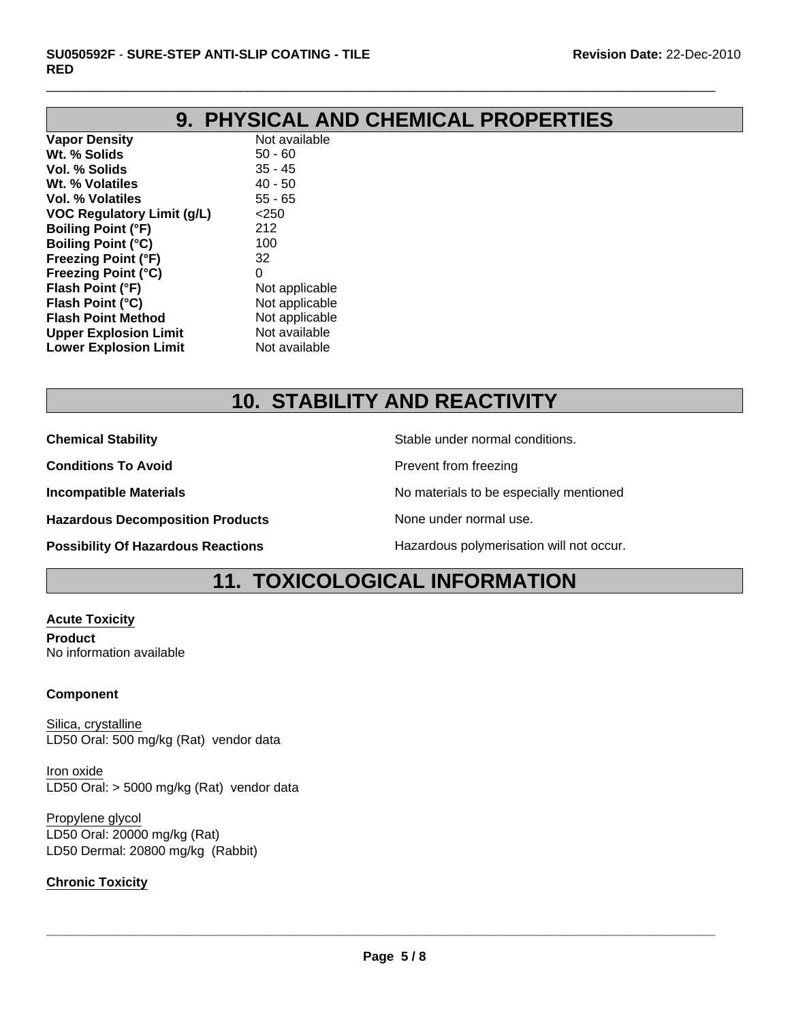# **9. PHYSICAL AND CHEMICAL PROPERTIES**

 $\Box$ 

**Vapor Density** Not available **Wt. % Solids** 50 - 60 **Vol. % Solids** 35 - 45 **Wt. % Volatiles** 40 - 50 **Vol. % Volatiles** 55 - 65 **VOC Regulatory Limit (g/L)** <250 **Boiling Point (°F)** 212 **Boiling Point (°C)** 100 **Freezing Point (°F)** 32 **Freezing Point (°C)** 0 **Flash Point (°F)** Not applicable **Flash Point (°C)** Not applicable **Flash Point Method** Not applicable **Upper Explosion Limit** Not available **Lower Explosion Limit** Not available

# **10. STABILITY AND REACTIVITY**

**Chemical Stability Stable under normal conditions.** Stable under normal conditions.

**Conditions To Avoid Prevent from freezing** 

**Incompatible Materials No materials** No materials to be especially mentioned

**Hazardous Decomposition Products** None under normal use.

**Possibility Of Hazardous Reactions Hazardous polymerisation will not occur.** 

### **11. TOXICOLOGICAL INFORMATION**

**Acute Toxicity Product** No information available

#### **Component**

Silica, crystalline LD50 Oral: 500 mg/kg (Rat) vendor data

Iron oxide LD50 Oral: > 5000 mg/kg (Rat) vendor data

Propylene glycol LD50 Oral: 20000 mg/kg (Rat) LD50 Dermal: 20800 mg/kg (Rabbit)

#### **Chronic Toxicity**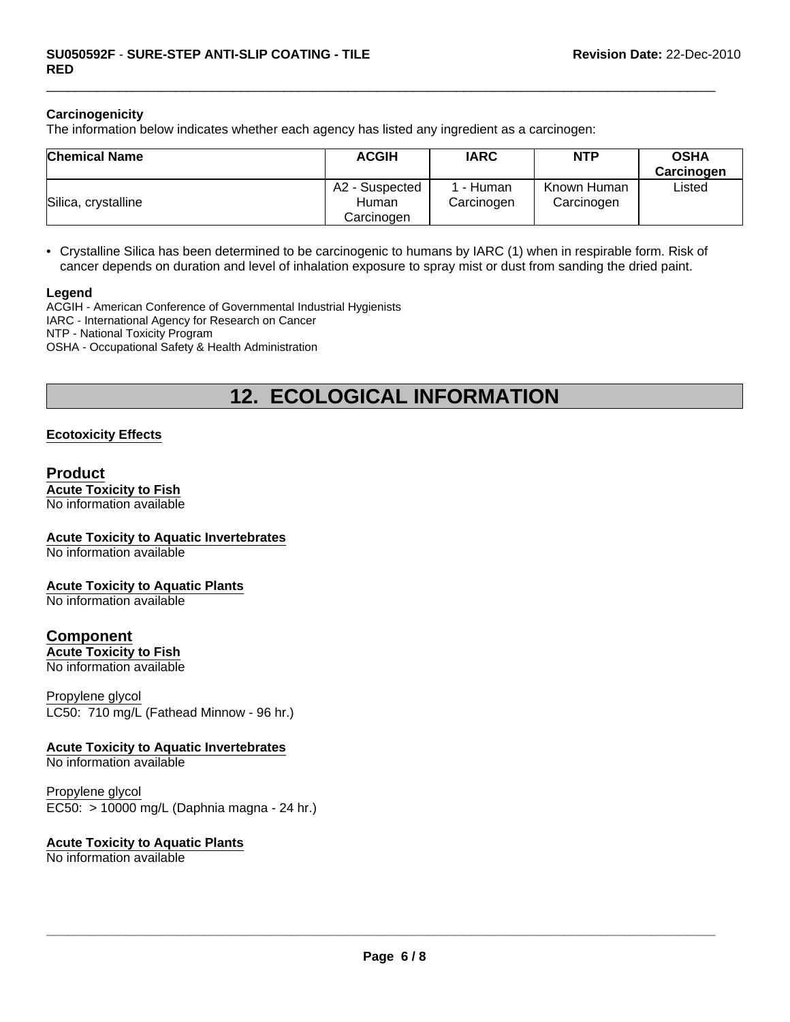#### **Carcinogenicity**

The information below indicates whether each agency has listed any ingredient as a carcinogen:

| <b>Chemical Name</b> | <b>ACGIH</b>                          | <b>IARC</b>           | <b>NTP</b>                | <b>OSHA</b><br>Carcinogen |
|----------------------|---------------------------------------|-----------------------|---------------------------|---------------------------|
| Silica, crystalline  | A2 - Suspected<br>Human<br>Carcinoɑen | - Human<br>Carcinogen | Known Human<br>Carcinogen | Listed                    |

 $\Box$ 

• Crystalline Silica has been determined to be carcinogenic to humans by IARC (1) when in respirable form. Risk of cancer depends on duration and level of inhalation exposure to spray mist or dust from sanding the dried paint.

#### **Legend**

ACGIH - American Conference of Governmental Industrial Hygienists IARC - International Agency for Research on Cancer NTP - National Toxicity Program OSHA - Occupational Safety & Health Administration

### **12. ECOLOGICAL INFORMATION**

#### **Ecotoxicity Effects**

#### **Product**

**Acute Toxicity to Fish** No information available

#### **Acute Toxicity to Aquatic Invertebrates**

No information available

#### **Acute Toxicity to Aquatic Plants**

No information available

### **Component**

**Acute Toxicity to Fish** No information available

LC50: 710 mg/L (Fathead Minnow - 96 hr.) Propylene glycol

#### **Acute Toxicity to Aquatic Invertebrates**

No information available

EC50: > 10000 mg/L (Daphnia magna - 24 hr.) Propylene glycol

#### **Acute Toxicity to Aquatic Plants**

No information available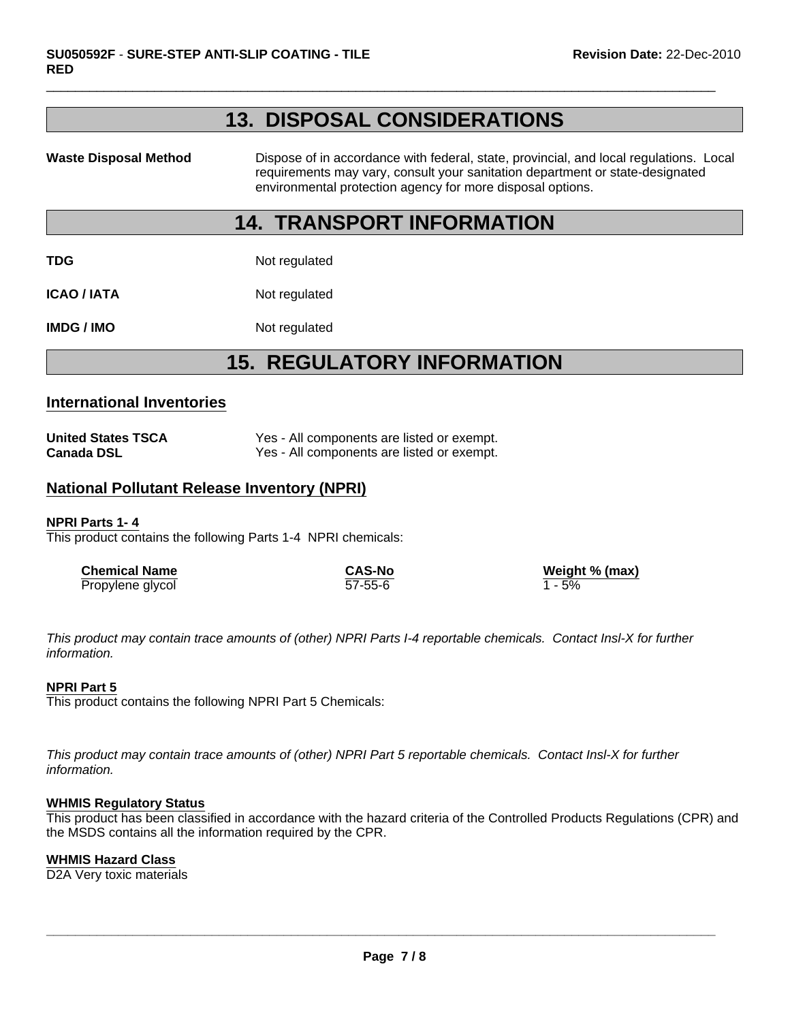### **13. DISPOSAL CONSIDERATIONS**

 $\Box$ 

Waste Disposal Method **Dispose of in accordance with federal, state, provincial, and local regulations. Local** requirements may vary, consult your sanitation department or state-designated environmental protection agency for more disposal options.

### **14. TRANSPORT INFORMATION**

**TDG** Not regulated

**ICAO / IATA** Not regulated

**IMDG / IMO** Not regulated

# **15. REGULATORY INFORMATION**

#### **International Inventories**

| <b>United States TSCA</b> | Yes - All components are listed or exempt. |
|---------------------------|--------------------------------------------|
| Canada DSL                | Yes - All components are listed or exempt. |

#### **National Pollutant Release Inventory (NPRI)**

#### **NPRI Parts 1- 4**

This product contains the following Parts 1-4 NPRI chemicals:

| <b>Chemical Name</b> | CAS-No        | Weight % (max) |
|----------------------|---------------|----------------|
| Propylene glycol     | $57 - 55 - 6$ | 1 - 5%         |

*This product may contain trace amounts of (other) NPRI Parts I-4 reportable chemicals. Contact Insl-X for further information.*

#### **NPRI Part 5**

This product contains the following NPRI Part 5 Chemicals:

*This product may contain trace amounts of (other) NPRI Part 5 reportable chemicals. Contact Insl-X for further information.*

#### **WHMIS Regulatory Status**

This product has been classified in accordance with the hazard criteria of the Controlled Products Regulations (CPR) and the MSDS contains all the information required by the CPR.

#### **WHMIS Hazard Class**

D2A Very toxic materials